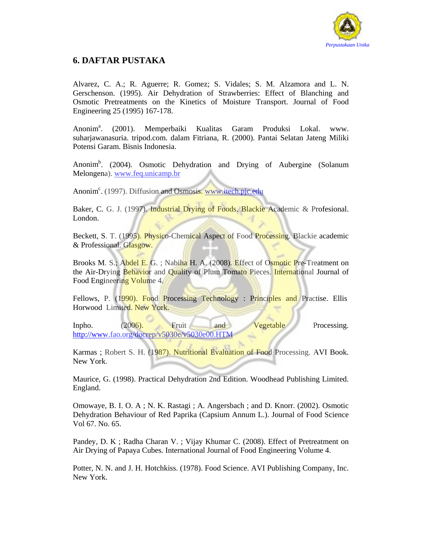

## **6. DAFTAR PUSTAKA**

Alvarez, C. A.; R. Aguerre; R. Gomez; S. Vidales; S. M. Alzamora and L. N. Gerschenson. (1995). Air Dehydration of Strawberries: Effect of Blanching and Osmotic Pretreatments on the Kinetics of Moisture Transport. Journal of Food Engineering 25 (1995) 167-178.

Anonim<sup>a</sup>. . (2001). Memperbaiki Kualitas Garam Produksi Lokal. www. suharjawanasuria. tripod.com. dalam Fitriana, R. (2000). Pantai Selatan Jateng Miliki Potensi Garam. Bisnis Indonesia.

Anonim<sup>b</sup>. (2004). Osmotic Dehydration and Drying of Aubergine (Solanum Melongena). www.feq.unicamp.br

Anonim<sup>c</sup>. (1997). Diffusion and Osmosis. www.itech.pjc.edu

Baker, C. G. J. (1997). Industrial Drying of Foods. Blackie Academic & Profesional. London.

Beckett, S. T. (1995). Physico-Chemical Aspect of Food Processing. Blackie academic & Professional. Glasgow.

Brooks M. S.; Abdel E. G. ; Nabiha H. A. (2008). Effect of Osmotic Pre-Treatment on the Air-Drying Behavior and Quality of Plum Tomato Pieces. International Journal of Food Engineering Volume 4.

Fellows, P. (1990). Food Processing Technology : Principles and Practise. Ellis Horwood Limited. New York.

Inpho. (2006). Fruit and Vegetable Processing. http://www.fao.org/docrep/v5030e/v5030e00.HTM

Karmas ; Robert S. H. (1987). Nutritional Evaluation of Food Processing. AVI Book. New York.

Maurice, G. (1998). Practical Dehydration 2nd Edition. Woodhead Publishing Limited. England.

Omowaye, B. I. O. A ; N. K. Rastagi ; A. Angersbach ; and D. Knorr. (2002). Osmotic Dehydration Behaviour of Red Paprika (Capsium Annum L.). Journal of Food Science Vol 67. No. 65.

Pandey, D. K ; Radha Charan V. ; Vijay Khumar C. (2008). Effect of Pretreatment on Air Drying of Papaya Cubes. International Journal of Food Engineering Volume 4.

Potter, N. N. and J. H. Hotchkiss. (1978). Food Science. AVI Publishing Company, Inc. New York.